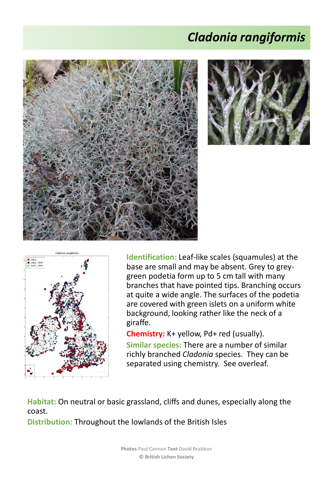## *Cladonia rangiformis*







**Identification:** Leaf-like scales (squamules) at the base are small and may be absent. Grey to greygreen podetia form up to 5 cm tall with many branches that have pointed tips. Branching occurs at quite a wide angle. The surfaces of the podetia are covered with green islets on a uniform white background, looking rather like the neck of a giraffe.

**Chemistry:** K+ yellow, Pd+ red (usually).

**Similar species:** There are a number of similar richly branched *Cladonia* species. They can be separated using chemistry. See overleaf.

**Habitat:** On neutral or basic grassland, cliffs and dunes, especially along the coast.

**Distribution:** Throughout the lowlands of the British Isles